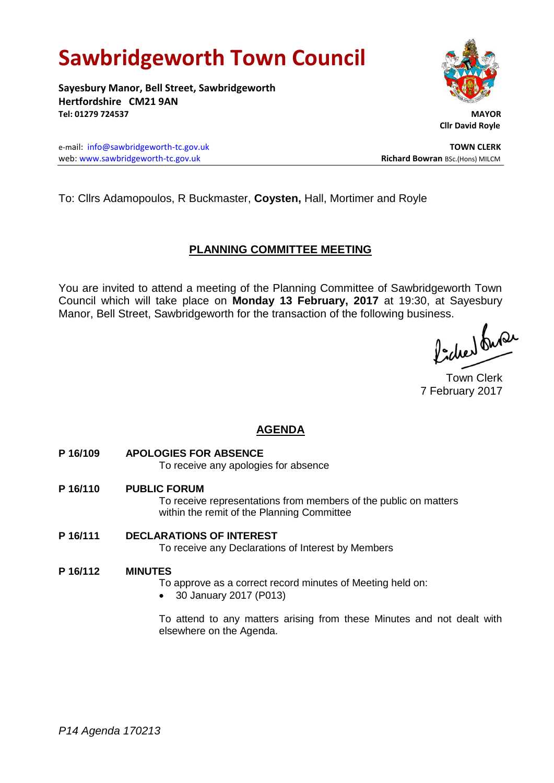# **Sawbridgeworth Town Council**

**Sayesbury Manor, Bell Street, Sawbridgeworth Hertfordshire CM21 9AN Tel: 01279 724537 MAYOR**

e-mail: [info@sawbridgeworth-tc.gov.uk](mailto:info@sawbridgeworth-tc.gov.uk) **TOWN CLERK** web: www.sawbridgeworth-tc.gov.uk **Richard Bowran** BSc.(Hons) MILCM



 **Cllr David Royle**

To: Cllrs Adamopoulos, R Buckmaster, **Coysten,** Hall, Mortimer and Royle

# **PLANNING COMMITTEE MEETING**

You are invited to attend a meeting of the Planning Committee of Sawbridgeworth Town Council which will take place on **Monday 13 February, 2017** at 19:30, at Sayesbury Manor, Bell Street, Sawbridgeworth for the transaction of the following business.<br>  $\int_{\mathbb{R}} 1 \int_{\mathbb{R}} \mathbb{Q} \mathcal{L}$ 

Town Clerk 7 February 2017

# **AGENDA**

**P 16/109 APOLOGIES FOR ABSENCE**

To receive any apologies for absence

- **P 16/110 PUBLIC FORUM** To receive representations from members of the public on matters within the remit of the Planning Committee
- **P 16/111 DECLARATIONS OF INTEREST** To receive any Declarations of Interest by Members

### **P 16/112 MINUTES**

To approve as a correct record minutes of Meeting held on:

30 January 2017 (P013)

To attend to any matters arising from these Minutes and not dealt with elsewhere on the Agenda.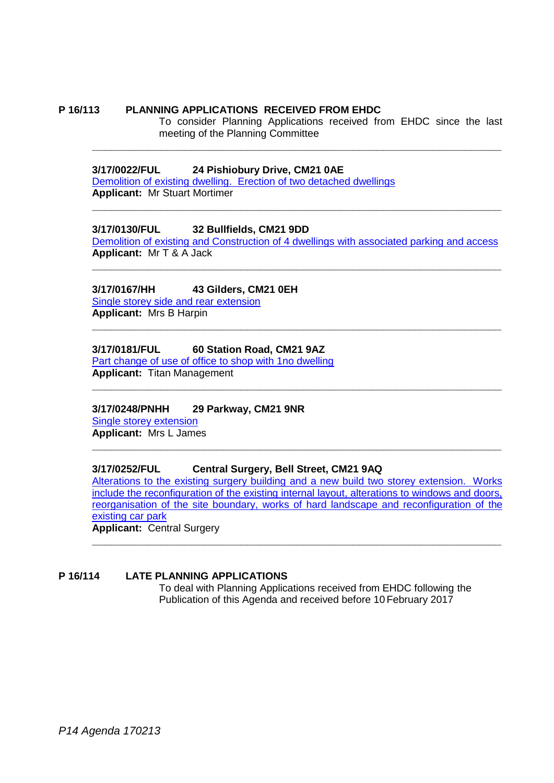#### **P 16/113 PLANNING APPLICATIONS RECEIVED FROM EHDC**

To consider Planning Applications received from EHDC since the last meeting of the Planning Committee

#### **3/17/0022/FUL 24 Pishiobury Drive, CM21 0AE**

[Demolition of existing dwelling. Erection of two detached dwellings](https://publicaccess.eastherts.gov.uk/online-applications/applicationDetails.do?activeTab=summary&keyVal=OJEGYSGLMSK00) **Applicant:** Mr Stuart Mortimer

#### **3/17/0130/FUL 32 Bullfields, CM21 9DD**

[Demolition of existing and Construction of 4 dwellings with associated parking and access](https://publicaccess.eastherts.gov.uk/online-applications/applicationDetails.do?activeTab=summary&keyVal=OK1028GLMYG00) **Applicant:** Mr T & A Jack **\_\_\_\_\_\_\_\_\_\_\_\_\_\_\_\_\_\_\_\_\_\_\_\_\_\_\_\_\_\_\_\_\_\_\_\_\_\_\_\_\_\_\_\_\_\_\_\_\_\_\_\_\_\_\_\_\_\_\_\_\_\_\_\_\_\_**

**\_\_\_\_\_\_\_\_\_\_\_\_\_\_\_\_\_\_\_\_\_\_\_\_\_\_\_\_\_\_\_\_\_\_\_\_\_\_\_\_\_\_\_\_\_\_\_\_\_\_\_\_\_\_\_\_\_\_\_\_\_\_\_\_\_\_**

**\_\_\_\_\_\_\_\_\_\_\_\_\_\_\_\_\_\_\_\_\_\_\_\_\_\_\_\_\_\_\_\_\_\_\_\_\_\_\_\_\_\_\_\_\_\_\_\_\_\_\_\_\_\_\_\_\_\_\_\_\_\_\_\_\_\_**

**\_\_\_\_\_\_\_\_\_\_\_\_\_\_\_\_\_\_\_\_\_\_\_\_\_\_\_\_\_\_\_\_\_\_\_\_\_\_\_\_\_\_\_\_\_\_\_\_\_\_\_\_\_\_\_\_\_\_\_\_\_\_\_\_\_\_**

**\_\_\_\_\_\_\_\_\_\_\_\_\_\_\_\_\_\_\_\_\_\_\_\_\_\_\_\_\_\_\_\_\_\_\_\_\_\_\_\_\_\_\_\_\_\_\_\_\_\_\_\_\_\_\_\_\_\_\_\_\_\_\_\_\_\_**

**\_\_\_\_\_\_\_\_\_\_\_\_\_\_\_\_\_\_\_\_\_\_\_\_\_\_\_\_\_\_\_\_\_\_\_\_\_\_\_\_\_\_\_\_\_\_\_\_\_\_\_\_\_\_\_\_\_\_\_\_\_\_\_\_\_\_**

#### **3/17/0167/HH 43 Gilders, CM21 0EH**

[Single storey side and rear extension](https://publicaccess.eastherts.gov.uk/online-applications/applicationDetails.do?activeTab=summary&keyVal=OK8QMFGL00700) **Applicant:** Mrs B Harpin

#### **3/17/0181/FUL 60 Station Road, CM21 9AZ**

[Part change of use of office to shop with 1no dwelling](https://publicaccess.eastherts.gov.uk/online-applications/applicationDetails.do?activeTab=documents&keyVal=OKC2D5GL00700) **Applicant:** Titan Management

#### **3/17/0248/PNHH 29 Parkway, CM21 9NR**

[Single storey extension](https://publicaccess.eastherts.gov.uk/online-applications/applicationDetails.do?activeTab=summary&keyVal=OKP1S2GL00X00) **Applicant:** Mrs L James

#### **3/17/0252/FUL Central Surgery, Bell Street, CM21 9AQ**

[Alterations to the existing surgery building and a new build two storey extension. Works](https://publicaccess.eastherts.gov.uk/online-applications/applicationDetails.do?activeTab=summary&keyVal=OKP2WEGLN4V00)  [include the reconfiguration of the existing internal layout, alterations to windows and doors,](https://publicaccess.eastherts.gov.uk/online-applications/applicationDetails.do?activeTab=summary&keyVal=OKP2WEGLN4V00)  [reorganisation of the site boundary, works of hard landscape and reconfiguration](https://publicaccess.eastherts.gov.uk/online-applications/applicationDetails.do?activeTab=summary&keyVal=OKP2WEGLN4V00) of the [existing car park](https://publicaccess.eastherts.gov.uk/online-applications/applicationDetails.do?activeTab=summary&keyVal=OKP2WEGLN4V00) **Applicant:** Central Surgery

**\_\_\_\_\_\_\_\_\_\_\_\_\_\_\_\_\_\_\_\_\_\_\_\_\_\_\_\_\_\_\_\_\_\_\_\_\_\_\_\_\_\_\_\_\_\_\_\_\_\_\_\_\_\_\_\_\_\_\_\_\_\_\_\_\_\_**

#### **P 16/114 LATE PLANNING APPLICATIONS**

To deal with Planning Applications received from EHDC following the Publication of this Agenda and received before 10 February 2017